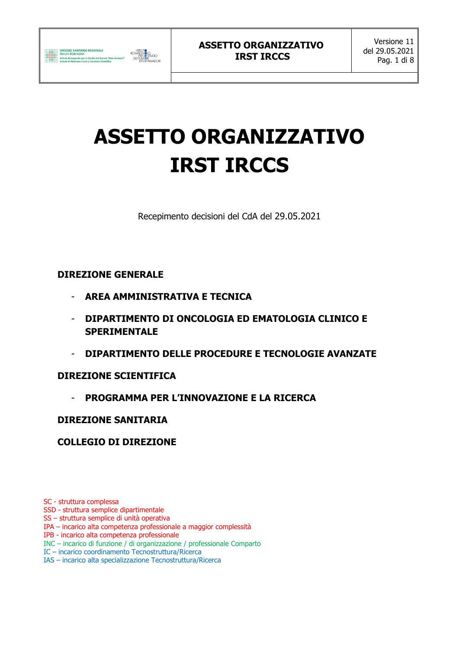# **ASSETTO ORGANIZZATIVO IRST IRCCS**

Recepimento decisioni del CdA del 29.05.2021

## **DIREZIONE GENERALE**

- **AREA AMMINISTRATIVA E TECNICA**
- **DIPARTIMENTO DI ONCOLOGIA ED EMATOLOGIA CLINICO E SPERIMENTALE**
- **DIPARTIMENTO DELLE PROCEDURE E TECNOLOGIE AVANZATE**

## **DIREZIONE SCIENTIFICA**

- **PROGRAMMA PER L'INNOVAZIONE E LA RICERCA** 

## **DIREZIONE SANITARIA**

# **COLLEGIO DI DIREZIONE**

SC - struttura complessa

- SSD struttura semplice dipartimentale
- SS struttura semplice di unità operativa
- IPA incarico alta competenza professionale a maggior complessità
- IPB incarico alta competenza professionale
- INC incarico di funzione / di organizzazione / professionale Comparto
- IC incarico coordinamento Tecnostruttura/Ricerca
- IAS incarico alta specializzazione Tecnostruttura/Ricerca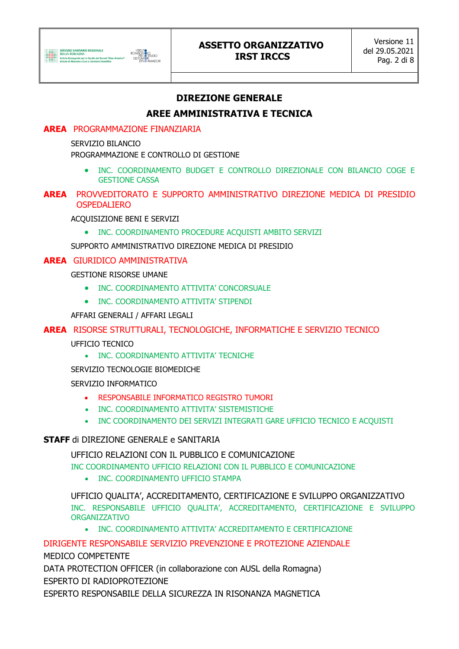# **DIREZIONE GENERALE**

# **AREE AMMINISTRATIVA E TECNICA**

## **AREA** PROGRAMMAZIONE FINANZIARIA

#### SERVIZIO BILANCIO

PROGRAMMAZIONE E CONTROLLO DI GESTIONE

 INC. COORDINAMENTO BUDGET E CONTROLLO DIREZIONALE CON BILANCIO COGE E GESTIONE CASSA

#### **AREA** PROVVEDITORATO E SUPPORTO AMMINISTRATIVO DIREZIONE MEDICA DI PRESIDIO OSPEDALIERO

ACQUISIZIONE BENI E SERVIZI

• INC. COORDINAMENTO PROCEDURE ACQUISTI AMBITO SERVIZI

SUPPORTO AMMINISTRATIVO DIREZIONE MEDICA DI PRESIDIO

#### **AREA** GIURIDICO AMMINISTRATIVA

GESTIONE RISORSE UMANE

- **. INC. COORDINAMENTO ATTIVITA' CONCORSUALE**
- **. INC. COORDINAMENTO ATTIVITA' STIPENDI**

AFFARI GENERALI / AFFARI LEGALI

## **AREA** RISORSE STRUTTURALI, TECNOLOGICHE, INFORMATICHE E SERVIZIO TECNICO

UFFICIO TECNICO

INC. COORDINAMENTO ATTIVITA' TECNICHE

SERVIZIO TECNOLOGIE BIOMEDICHE

#### SERVIZIO INFORMATICO

- RESPONSABILE INFORMATICO REGISTRO TUMORI
- INC. COORDINAMENTO ATTIVITA' SISTEMISTICHE
- INC COORDINAMENTO DEI SERVIZI INTEGRATI GARE UFFICIO TECNICO E ACQUISTI

## **STAFF** di DIREZIONE GENERALE e SANITARIA

UFFICIO RELAZIONI CON IL PUBBLICO E COMUNICAZIONE

INC COORDINAMENTO UFFICIO RELAZIONI CON IL PUBBLICO E COMUNICAZIONE

• INC. COORDINAMENTO UFFICIO STAMPA

UFFICIO QUALITA', ACCREDITAMENTO, CERTIFICAZIONE E SVILUPPO ORGANIZZATIVO INC. RESPONSABILE UFFICIO QUALITA', ACCREDITAMENTO, CERTIFICAZIONE E SVILUPPO ORGANIZZATIVO

INC. COORDINAMENTO ATTIVITA' ACCREDITAMENTO E CERTIFICAZIONE

## DIRIGENTE RESPONSABILE SERVIZIO PREVENZIONE E PROTEZIONE AZIENDALE

MEDICO COMPETENTE

DATA PROTECTION OFFICER (in collaborazione con AUSL della Romagna) ESPERTO DI RADIOPROTEZIONE

ESPERTO RESPONSABILE DELLA SICUREZZA IN RISONANZA MAGNETICA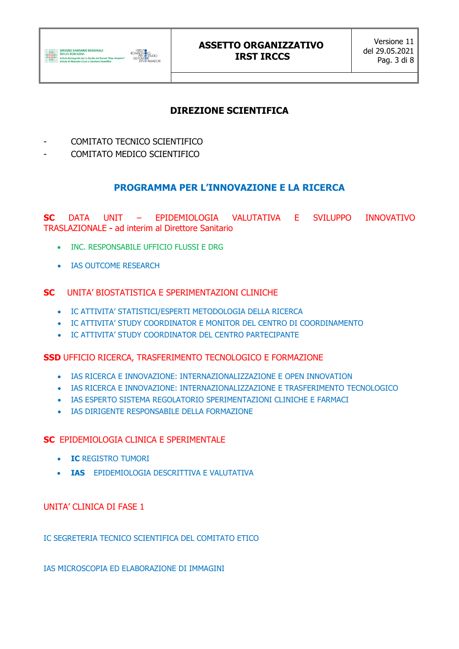

## **ASSETTO ORGANIZZATIVO IRST IRCCS**

# **DIREZIONE SCIENTIFICA**

- COMITATO TECNICO SCIENTIFICO
- COMITATO MEDICO SCIENTIFICO

## **PROGRAMMA PER L'INNOVAZIONE E LA RICERCA**

**SC** DATA UNIT – EPIDEMIOLOGIA VALUTATIVA E SVILUPPO INNOVATIVO TRASLAZIONALE - ad interim al Direttore Sanitario

- INC. RESPONSABILE UFFICIO FLUSSI E DRG
- IAS OUTCOME RESEARCH

#### **SC** UNITA' BIOSTATISTICA E SPERIMENTAZIONI CLINICHE

- IC ATTIVITA' STATISTICI/ESPERTI METODOLOGIA DELLA RICERCA
- IC ATTIVITA' STUDY COORDINATOR E MONITOR DEL CENTRO DI COORDINAMENTO
- IC ATTIVITA' STUDY COORDINATOR DEL CENTRO PARTECIPANTE

#### **SSD** UFFICIO RICERCA, TRASFERIMENTO TECNOLOGICO E FORMAZIONE

- IAS RICERCA E INNOVAZIONE: INTERNAZIONALIZZAZIONE E OPEN INNOVATION
- IAS RICERCA E INNOVAZIONE: INTERNAZIONALIZZAZIONE E TRASFERIMENTO TECNOLOGICO
- IAS ESPERTO SISTEMA REGOLATORIO SPERIMENTAZIONI CLINICHE E FARMACI
- IAS DIRIGENTE RESPONSABILE DELLA FORMAZIONE

#### **SC** EPIDEMIOLOGIA CLINICA E SPERIMENTALE

- **IC** REGISTRO TUMORI
- **IAS** EPIDEMIOLOGIA DESCRITTIVA E VALUTATIVA

#### UNITA' CLINICA DI FASE 1

IC SEGRETERIA TECNICO SCIENTIFICA DEL COMITATO ETICO

IAS MICROSCOPIA ED ELABORAZIONE DI IMMAGINI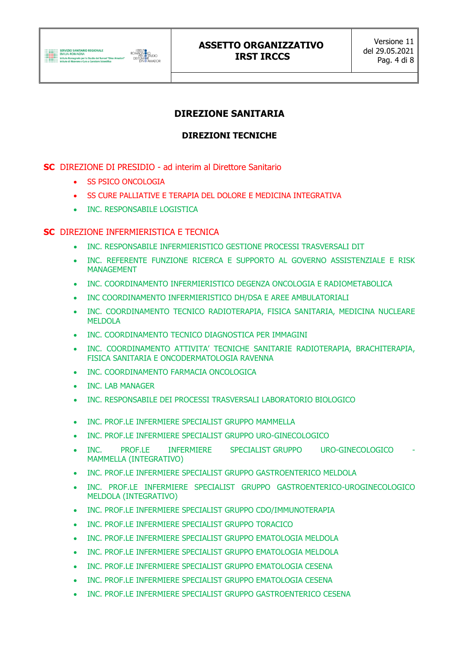# **DIREZIONE SANITARIA**

## **DIREZIONI TECNICHE**

## **SC** DIREZIONE DI PRESIDIO - ad interim al Direttore Sanitario

- **SS PSICO ONCOLOGIA**
- **SS CURE PALLIATIVE E TERAPIA DEL DOLORE E MEDICINA INTEGRATIVA**
- INC. RESPONSABILE LOGISTICA

#### **SC** DIREZIONE INFERMIERISTICA E TECNICA

- INC. RESPONSABILE INFERMIERISTICO GESTIONE PROCESSI TRASVERSALI DIT
- INC. REFERENTE FUNZIONE RICERCA E SUPPORTO AL GOVERNO ASSISTENZIALE E RISK MANAGEMENT
- INC. COORDINAMENTO INFERMIERISTICO DEGENZA ONCOLOGIA E RADIOMETABOLICA
- INC COORDINAMENTO INFERMIERISTICO DH/DSA E AREE AMBULATORIALI
- INC. COORDINAMENTO TECNICO RADIOTERAPIA, FISICA SANITARIA, MEDICINA NUCLEARE MELDOLA
- INC. COORDINAMENTO TECNICO DIAGNOSTICA PER IMMAGINI
- INC. COORDINAMENTO ATTIVITA' TECNICHE SANITARIE RADIOTERAPIA, BRACHITERAPIA, FISICA SANITARIA E ONCODERMATOLOGIA RAVENNA
- INC. COORDINAMENTO FARMACIA ONCOLOGICA
- INC. LAB MANAGER
- INC. RESPONSABILE DEI PROCESSI TRASVERSALI LABORATORIO BIOLOGICO
- INC. PROF.LE INFERMIERE SPECIALIST GRUPPO MAMMELLA
- INC. PROF.LE INFERMIERE SPECIALIST GRUPPO URO-GINECOLOGICO
- INC. PROF.LE INFERMIERE SPECIALIST\_GRUPPO URO-GINECOLOGICO MAMMELLA (INTEGRATIVO)
- INC. PROF.LE INFERMIERE SPECIALIST GRUPPO GASTROENTERICO MELDOLA
- INC. PROF.LE INFERMIERE SPECIALIST GRUPPO GASTROENTERICO-UROGINECOLOGICO MELDOLA (INTEGRATIVO)
- INC. PROF.LE INFERMIERE SPECIALIST GRUPPO CDO/IMMUNOTERAPIA
- INC. PROF.LE INFERMIERE SPECIALIST GRUPPO TORACICO
- INC. PROF.LE INFERMIERE SPECIALIST GRUPPO EMATOLOGIA MELDOLA
- INC. PROF.LE INFERMIERE SPECIALIST GRUPPO EMATOLOGIA MELDOLA
- INC. PROF.LE INFERMIERE SPECIALIST GRUPPO EMATOLOGIA CESENA
- INC. PROF.LE INFERMIERE SPECIALIST GRUPPO EMATOLOGIA CESENA
- INC. PROF.LE INFERMIERE SPECIALIST GRUPPO GASTROENTERICO CESENA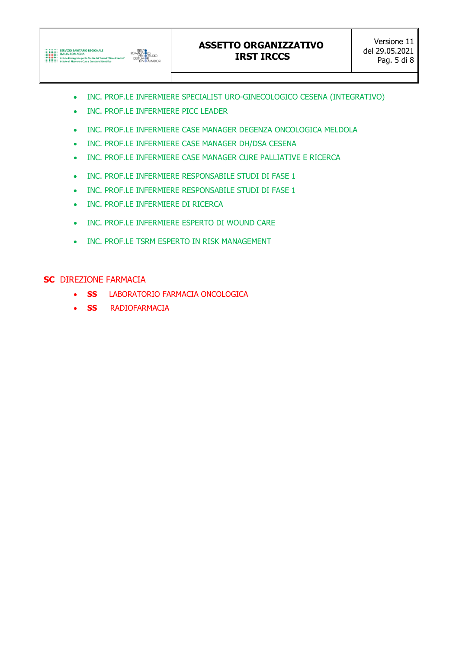

- INC. PROF.LE INFERMIERE SPECIALIST URO-GINECOLOGICO CESENA (INTEGRATIVO)
- INC. PROF.LE INFERMIERE PICC LEADER
- INC. PROF.LE INFERMIERE CASE MANAGER DEGENZA ONCOLOGICA MELDOLA
- INC. PROF.LE INFERMIERE CASE MANAGER DH/DSA CESENA
- INC. PROF.LE INFERMIERE CASE MANAGER CURE PALLIATIVE E RICERCA
- INC. PROF.LE INFERMIERE RESPONSABILE STUDI DI FASE 1
- INC. PROF.LE INFERMIERE RESPONSABILE STUDI DI FASE 1
- INC. PROF.LE INFERMIERE DI RICERCA
- INC. PROF.LE INFERMIERE ESPERTO DI WOUND CARE
- INC. PROF.LE TSRM ESPERTO IN RISK MANAGEMENT

#### **SC** DIREZIONE FARMACIA

- **SS** LABORATORIO FARMACIA ONCOLOGICA
- **SS** RADIOFARMACIA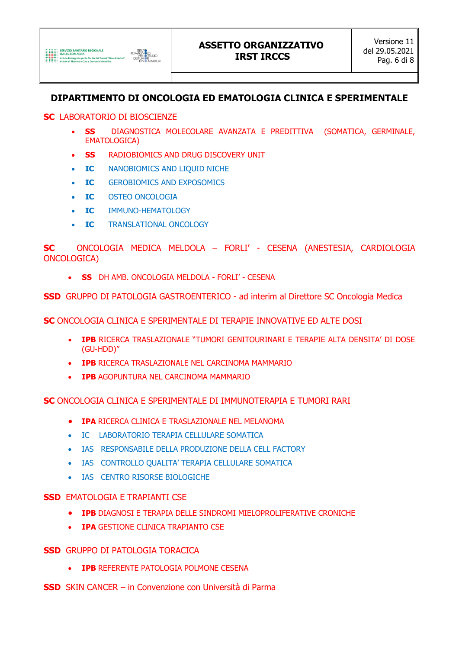# **DIPARTIMENTO DI ONCOLOGIA ED EMATOLOGIA CLINICA E SPERIMENTALE**

#### **SC** LABORATORIO DI BIOSCIENZE

- **SS** DIAGNOSTICA MOLECOLARE AVANZATA E PREDITTIVA (SOMATICA, GERMINALE, EMATOLOGICA)
- **SS** RADIOBIOMICS AND DRUG DISCOVERY UNIT
- **IC** NANOBIOMICS AND LIQUID NICHE
- **IC** GEROBIOMICS AND EXPOSOMICS
- **IC** OSTEO ONCOLOGIA
- **IC** IMMUNO-HEMATOLOGY
- **IC** TRANSLATIONAL ONCOLOGY

**SC** ONCOLOGIA MEDICA MELDOLA – FORLI' - CESENA (ANESTESIA, CARDIOLOGIA ONCOLOGICA)

**SS** DH AMB. ONCOLOGIA MELDOLA - FORLI' - CESENA

**SSD** GRUPPO DI PATOLOGIA GASTROENTERICO - ad interim al Direttore SC Oncologia Medica

**SC** ONCOLOGIA CLINICA E SPERIMENTALE DI TERAPIE INNOVATIVE ED ALTE DOSI

- **IPB** RICERCA TRASLAZIONALE "TUMORI GENITOURINARI E TERAPIE ALTA DENSITA' DI DOSE (GU-HDD)"
- **IPB** RICERCA TRASLAZIONALE NEL CARCINOMA MAMMARIO
- **IPB** AGOPUNTURA NEL CARCINOMA MAMMARIO

**SC** ONCOLOGIA CLINICA E SPERIMENTALE DI IMMUNOTERAPIA E TUMORI RARI

- **IPA** RICERCA CLINICA E TRASLAZIONALE NEL MELANOMA
- IC LABORATORIO TERAPIA CELLULARE SOMATICA
- IAS RESPONSABILE DELLA PRODUZIONE DELLA CELL FACTORY
- IAS CONTROLLO QUALITA' TERAPIA CELLULARE SOMATICA
- **.** IAS CENTRO RISORSE BIOLOGICHE

## **SSD** EMATOLOGIA E TRAPIANTI CSE

- **IPB** DIAGNOSI E TERAPIA DELLE SINDROMI MIELOPROLIFERATIVE CRONICHE
- **IPA** GESTIONE CLINICA TRAPIANTO CSE

## **SSD** GRUPPO DI PATOLOGIA TORACICA

- **IPB** REFERENTE PATOLOGIA POLMONE CESENA
- **SSD** SKIN CANCER in Convenzione con Università di Parma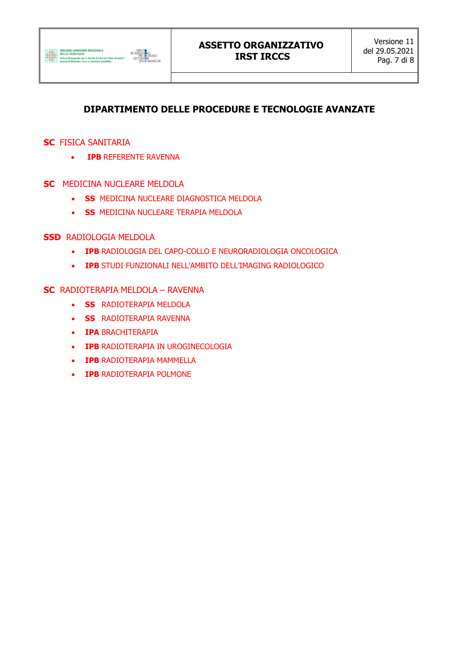# **DIPARTIMENTO DELLE PROCEDURE E TECNOLOGIE AVANZATE**

## **SC** FISICA SANITARIA

- **IPB** REFERENTE RAVENNA
- **SC** MEDICINA NUCLEARE MELDOLA
	- **SS** MEDICINA NUCLEARE DIAGNOSTICA MELDOLA
	- **SS MEDICINA NUCLEARE TERAPIA MELDOLA**

## **SSD** RADIOLOGIA MELDOLA

- **IPB** RADIOLOGIA DEL CAPO-COLLO E NEURORADIOLOGIA ONCOLOGICA
- **IPB** STUDI FUNZIONALI NELL'AMBITO DELL'IMAGING RADIOLOGICO

#### **SC** RADIOTERAPIA MELDOLA – RAVENNA

- **SS** RADIOTERAPIA MELDOLA
- **SS** RADIOTERAPIA RAVENNA
- **IPA BRACHITERAPIA**
- **IPB RADIOTERAPIA IN UROGINECOLOGIA**
- **IPB** RADIOTERAPIA MAMMELLA
- **IPB** RADIOTERAPIA POLMONE